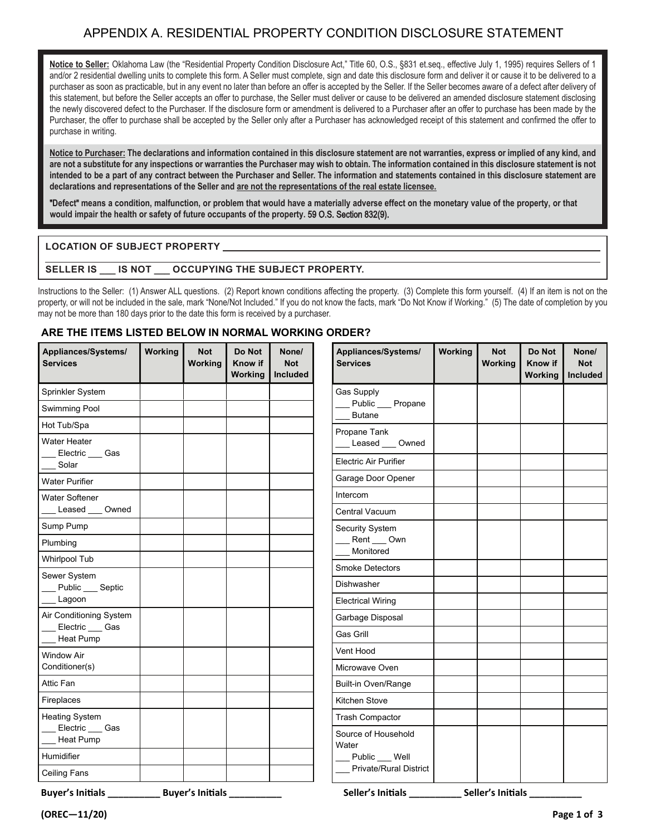## APPENDIX A. RESIDENTIAL PROPERTY CONDITION DISCLOSURE STATEMENT STATEMENT

Notice to Seller: Oklahoma Law (the "Residential Property Condition Disclosure Act," Title 60, O.S., §831 et.seq., effective July 1, 1995) requires Sellers of 1 and/or 2 residential dwelling units to complete this form. A Seller must complete, sign and date this disclosure form and deliver it or cause it to be delivered to a purchaser as soon as practicable, but in any event no later than before an offer is accepted by the Seller. If the Seller becomes aware of a defect after delivery of this statement, but before the Seller accepts an offer to purchase, the Seller must deliver or cause to be delivered an amended disclosure statement disclosing the newly discovered defect to the Purchaser. If the disclosure form or amendment is delivered to a Purchaser after an offer to purchase has been made by the new the offer to purchase chall be accepted by the Seller or use the Purchaser has acknowledged receipt of this statement and confirmed the offer to a Purchaser and confirmed the offer to Purchaser, the offer to purchase shall be accepted by the Seller only after a Purchaser has acknowledged receipt of this statement and confirmed the offer to nurchase in writing  $P^{\text{a}}$  statement and confirmed the offer to purchase in writing. purchase in writing.

Notice to Purchaser: The declarations and information contained in this disclosure statement are not warranties, express or implied of any kind, and are not a substitute for any inspections or warranties the Purchaser may wish to obtain. The information contained in this disclosure statement is not intended to be a part of any contract between the Purchaser and Seller. The information and statements contained in this disclosure statement are declarations and representations of the Seller and are not the representations of the real estate licensee.

"Defect" means a condition, malfunction, or problem that would have a materially adverse effect on the monetary value of the property, or that **would impair the health or safety of future occupants of the property.** 59 O.S. Section 832(9).

 $L_\mathrm{L}$  , and the subset  $P_\mathrm{L}$  and  $P_\mathrm{L}$  and  $P_\mathrm{L}$  and  $P_\mathrm{L}$  and  $P_\mathrm{L}$  and  $P_\mathrm{L}$  and  $P_\mathrm{L}$  and  $P_\mathrm{L}$ 

## **\_\_\_\_\_\_\_\_\_\_\_\_\_\_\_\_\_\_\_\_\_\_\_\_\_\_\_\_\_\_\_\_\_\_\_\_\_\_\_\_\_\_\_\_\_\_\_\_\_\_\_\_\_\_\_\_\_\_\_\_\_\_\_\_\_\_\_\_\_\_\_\_\_\_\_\_\_\_\_\_\_\_\_\_\_\_\_\_\_\_\_\_\_\_\_\_\_\_\_\_\_\_\_\_ LOCATION OF SUBJECT PROPERTY**

## **SELLER IS \_\_\_ IS NOT \_\_\_ OCCUPYING THE SUBJECT PROPERTY. SELLER IS \_\_\_ IS NOT \_\_\_ OCCUPYING THE SUBJECT PROPERTY.**

Instructions to the Seller: (1) Answer ALL questions. (2) Report known conditions affecting the property. (3) Complete this form Instructions to the Seller: (1) Answer ALL questions. (2) Report known conditions affecting the property. (3) Complete this form yourself. (4) If an item is not on the property, or will not be included in the sale, mark "None/Not Included." If you do not know the facts, mark "Do Not Know if Working." (5) The date of completion by you may not be more than 180 days prior to the date this form is received by a purchaser.

## **ARE THE ITEMS LISTED BELOW IN NORMAL WORKING ORDER?**

| Appliances/Systems/<br><b>Services</b>                                          | <b>Working</b> | <b>Not</b><br>Working | Do Not<br>Know if<br>Working | None/<br><b>Not</b><br><b>Included</b> | Appliances/Systems/<br><b>Services</b> | <b>Working</b> | <b>Not</b><br>Working | Do Not<br>Know if<br>Working | None/<br><b>Not</b><br><b>Included</b> |
|---------------------------------------------------------------------------------|----------------|-----------------------|------------------------------|----------------------------------------|----------------------------------------|----------------|-----------------------|------------------------------|----------------------------------------|
| Sprinkler System                                                                |                |                       |                              |                                        | Gas Supply                             |                |                       |                              |                                        |
| Swimming Pool                                                                   |                |                       |                              |                                        | Public __ Propane<br><b>Butane</b>     |                |                       |                              |                                        |
| Hot Tub/Spa                                                                     |                |                       |                              |                                        |                                        |                |                       |                              |                                        |
| Water Heater<br>Electric ___ Gas                                                |                |                       |                              |                                        | Propane Tank<br>Leased ___ Owned       |                |                       |                              |                                        |
| Solar                                                                           |                |                       |                              |                                        | <b>Electric Air Purifier</b>           |                |                       |                              |                                        |
| <b>Water Purifier</b>                                                           |                |                       |                              |                                        | Garage Door Opener                     |                |                       |                              |                                        |
| <b>Water Softener</b>                                                           |                |                       |                              |                                        | Intercom                               |                |                       |                              |                                        |
| Leased<br>Owned                                                                 |                |                       |                              |                                        | Central Vacuum                         |                |                       |                              |                                        |
| Sump Pump                                                                       |                |                       |                              |                                        | <b>Security System</b>                 |                |                       |                              |                                        |
| Plumbing                                                                        |                |                       |                              |                                        | Rent __ Own<br>Monitored               |                |                       |                              |                                        |
| Whirlpool Tub                                                                   |                |                       |                              |                                        | <b>Smoke Detectors</b>                 |                |                       |                              |                                        |
| Sewer System<br>Public __ Septic                                                |                |                       |                              |                                        | Dishwasher                             |                |                       |                              |                                        |
| Lagoon                                                                          |                |                       |                              |                                        | <b>Electrical Wiring</b>               |                |                       |                              |                                        |
| Air Conditioning System                                                         |                |                       |                              |                                        | Garbage Disposal                       |                |                       |                              |                                        |
| _Electric ___ Gas<br>Heat Pump                                                  |                |                       |                              |                                        | Gas Grill                              |                |                       |                              |                                        |
| <b>Window Air</b>                                                               |                |                       |                              |                                        | Vent Hood                              |                |                       |                              |                                        |
| Conditioner(s)                                                                  |                |                       |                              |                                        | Microwave Oven                         |                |                       |                              |                                        |
| Attic Fan                                                                       |                |                       |                              |                                        | <b>Built-in Oven/Range</b>             |                |                       |                              |                                        |
| Fireplaces                                                                      |                |                       |                              |                                        | Kitchen Stove                          |                |                       |                              |                                        |
| <b>Heating System</b>                                                           |                |                       |                              |                                        | <b>Trash Compactor</b>                 |                |                       |                              |                                        |
| Electric Gas<br>Heat Pump                                                       |                |                       |                              |                                        | Source of Household<br>Water           |                |                       |                              |                                        |
| Humidifier                                                                      |                |                       |                              |                                        | Public __ Well                         |                |                       |                              |                                        |
| Ceiling Fans                                                                    |                |                       |                              |                                        | <b>Private/Rural District</b>          |                |                       |                              |                                        |
| Buyer's Initials ______________ Buyer's Initials __________<br>$(OREC - 11/20)$ |                |                       |                              |                                        |                                        |                |                       |                              | Page 1 of 3                            |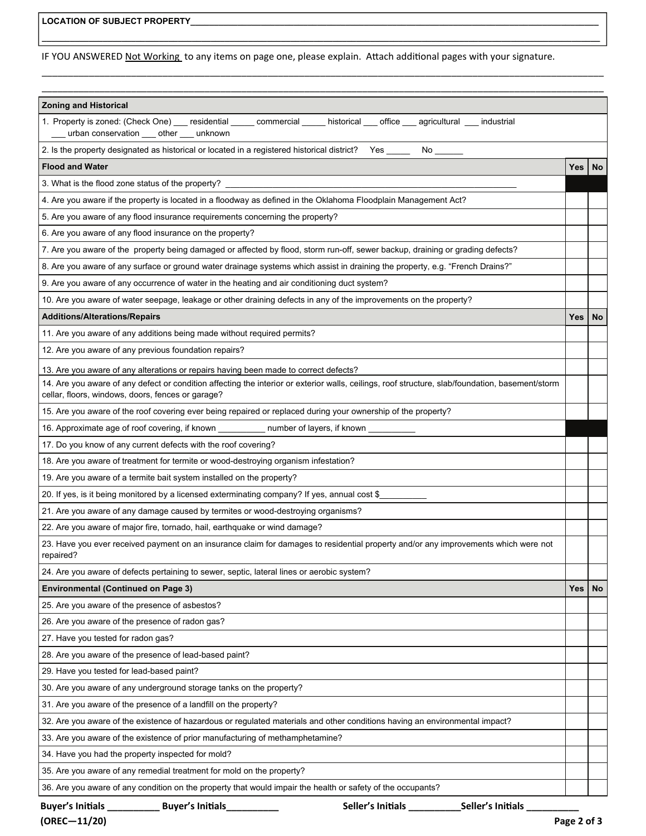IF YOU ANSWERED Not Working to any items on page one, please explain. Attach additional pages with your signature.

**\_\_\_\_\_\_\_\_\_\_\_\_\_\_\_\_\_\_\_\_\_\_\_\_\_\_\_\_\_\_\_\_\_\_\_\_\_\_\_\_\_\_\_\_\_\_\_\_\_\_\_\_\_\_\_\_\_\_\_\_\_\_\_\_\_\_\_\_\_\_\_\_\_\_\_\_\_\_\_\_\_\_\_\_\_\_\_\_\_\_\_\_\_\_\_\_\_\_\_\_\_\_\_\_\_\_\_\_\_\_\_\_\_\_\_\_\_\_\_** 

\_\_\_\_\_\_\_\_\_\_\_\_\_\_\_\_\_\_\_\_\_\_\_\_\_\_\_\_\_\_\_\_\_\_\_\_\_\_\_\_\_\_\_\_\_\_\_\_\_\_\_\_\_\_\_\_\_\_\_\_\_\_\_\_\_\_\_\_\_\_\_\_\_\_\_\_\_\_\_\_\_\_\_\_\_\_\_\_\_\_\_\_\_\_\_\_\_\_\_\_\_\_\_\_\_\_\_

| <b>Zoning and Historical</b>                                                                                                                                                                          |            |           |  |  |
|-------------------------------------------------------------------------------------------------------------------------------------------------------------------------------------------------------|------------|-----------|--|--|
| 1. Property is zoned: (Check One) ___ residential _____ commercial _____ historical ____ office ___ agricultural ____ industrial<br>urban conservation ____ other ____ unknown                        |            |           |  |  |
| 2. Is the property designated as historical or located in a registered historical district? Yes _______ No ______                                                                                     |            |           |  |  |
| <b>Flood and Water</b>                                                                                                                                                                                | <b>Yes</b> | <b>No</b> |  |  |
| 3. What is the flood zone status of the property?                                                                                                                                                     |            |           |  |  |
| 4. Are you aware if the property is located in a floodway as defined in the Oklahoma Floodplain Management Act?                                                                                       |            |           |  |  |
| 5. Are you aware of any flood insurance requirements concerning the property?                                                                                                                         |            |           |  |  |
| 6. Are you aware of any flood insurance on the property?                                                                                                                                              |            |           |  |  |
| 7. Are you aware of the property being damaged or affected by flood, storm run-off, sewer backup, draining or grading defects?                                                                        |            |           |  |  |
| 8. Are you aware of any surface or ground water drainage systems which assist in draining the property, e.g. "French Drains?"                                                                         |            |           |  |  |
| 9. Are you aware of any occurrence of water in the heating and air conditioning duct system?                                                                                                          |            |           |  |  |
| 10. Are you aware of water seepage, leakage or other draining defects in any of the improvements on the property?                                                                                     |            |           |  |  |
| <b>Additions/Alterations/Repairs</b>                                                                                                                                                                  | Yes        | <b>No</b> |  |  |
| 11. Are you aware of any additions being made without required permits?                                                                                                                               |            |           |  |  |
| 12. Are you aware of any previous foundation repairs?                                                                                                                                                 |            |           |  |  |
| 13. Are you aware of any alterations or repairs having been made to correct defects?                                                                                                                  |            |           |  |  |
| 14. Are you aware of any defect or condition affecting the interior or exterior walls, ceilings, roof structure, slab/foundation, basement/storm<br>cellar, floors, windows, doors, fences or garage? |            |           |  |  |
| 15. Are you aware of the roof covering ever being repaired or replaced during your ownership of the property?                                                                                         |            |           |  |  |
| 16. Approximate age of roof covering, if known ___________ number of layers, if known _____                                                                                                           |            |           |  |  |
| 17. Do you know of any current defects with the roof covering?                                                                                                                                        |            |           |  |  |
| 18. Are you aware of treatment for termite or wood-destroying organism infestation?                                                                                                                   |            |           |  |  |
| 19. Are you aware of a termite bait system installed on the property?                                                                                                                                 |            |           |  |  |
| 20. If yes, is it being monitored by a licensed exterminating company? If yes, annual cost \$                                                                                                         |            |           |  |  |
| 21. Are you aware of any damage caused by termites or wood-destroying organisms?                                                                                                                      |            |           |  |  |
| 22. Are you aware of major fire, tornado, hail, earthquake or wind damage?                                                                                                                            |            |           |  |  |
| 23. Have you ever received payment on an insurance claim for damages to residential property and/or any improvements which were not<br>repaired?                                                      |            |           |  |  |
| 24. Are you aware of defects pertaining to sewer, septic, lateral lines or aerobic system?                                                                                                            |            |           |  |  |
| <b>Environmental (Continued on Page 3)</b>                                                                                                                                                            | <b>Yes</b> | No        |  |  |
| 25. Are you aware of the presence of asbestos?                                                                                                                                                        |            |           |  |  |
| 26. Are you aware of the presence of radon gas?                                                                                                                                                       |            |           |  |  |
| 27. Have you tested for radon gas?                                                                                                                                                                    |            |           |  |  |
| 28. Are you aware of the presence of lead-based paint?                                                                                                                                                |            |           |  |  |
| 29. Have you tested for lead-based paint?                                                                                                                                                             |            |           |  |  |
| 30. Are you aware of any underground storage tanks on the property?                                                                                                                                   |            |           |  |  |
| 31. Are you aware of the presence of a landfill on the property?                                                                                                                                      |            |           |  |  |
| 32. Are you aware of the existence of hazardous or regulated materials and other conditions having an environmental impact?                                                                           |            |           |  |  |
| 33. Are you aware of the existence of prior manufacturing of methamphetamine?                                                                                                                         |            |           |  |  |
| 34. Have you had the property inspected for mold?                                                                                                                                                     |            |           |  |  |
| 35. Are you aware of any remedial treatment for mold on the property?                                                                                                                                 |            |           |  |  |
| 36. Are you aware of any condition on the property that would impair the health or safety of the occupants?                                                                                           |            |           |  |  |
| Buyer's Initials ___________<br><b>Buyer's Initials</b><br>Seller's Initials<br>Seller's Initials                                                                                                     |            |           |  |  |

**(OREC—11/20) Page 2 of 3**